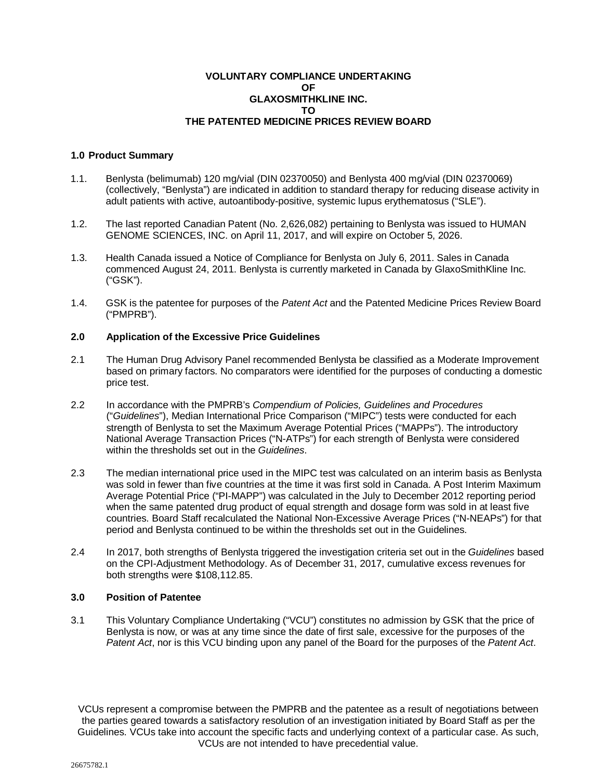### **VOLUNTARY COMPLIANCE UNDERTAKING OF GLAXOSMITHKLINE INC. TO THE PATENTED MEDICINE PRICES REVIEW BOARD**

# **1.0 Product Summary**

- 1.1. Benlysta (belimumab) 120 mg/vial (DIN 02370050) and Benlysta 400 mg/vial (DIN 02370069) (collectively, "Benlysta") are indicated in addition to standard therapy for reducing disease activity in adult patients with active, autoantibody-positive, systemic lupus erythematosus ("SLE").
- 1.2. The last reported Canadian Patent (No. 2,626,082) pertaining to Benlysta was issued to HUMAN GENOME SCIENCES, INC. on April 11, 2017, and will expire on October 5, 2026.
- 1.3. Health Canada issued a Notice of Compliance for Benlysta on July 6, 2011. Sales in Canada commenced August 24, 2011. Benlysta is currently marketed in Canada by GlaxoSmithKline Inc. ("GSK").
- 1.4. GSK is the patentee for purposes of the *Patent Act* and the Patented Medicine Prices Review Board ("PMPRB").

# **2.0 Application of the Excessive Price Guidelines**

- 2.1 The Human Drug Advisory Panel recommended Benlysta be classified as a Moderate Improvement based on primary factors. No comparators were identified for the purposes of conducting a domestic price test.
- 2.2 In accordance with the PMPRB's *Compendium of Policies, Guidelines and Procedures* ("*Guidelines*"), Median International Price Comparison ("MIPC") tests were conducted for each strength of Benlysta to set the Maximum Average Potential Prices ("MAPPs"). The introductory National Average Transaction Prices ("N-ATPs") for each strength of Benlysta were considered within the thresholds set out in the *Guidelines*.
- 2.3 The median international price used in the MIPC test was calculated on an interim basis as Benlysta was sold in fewer than five countries at the time it was first sold in Canada. A Post Interim Maximum Average Potential Price ("PI-MAPP") was calculated in the July to December 2012 reporting period when the same patented drug product of equal strength and dosage form was sold in at least five countries. Board Staff recalculated the National Non-Excessive Average Prices ("N-NEAPs") for that period and Benlysta continued to be within the thresholds set out in the Guidelines.
- 2.4 In 2017, both strengths of Benlysta triggered the investigation criteria set out in the *Guidelines* based on the CPI-Adjustment Methodology. As of December 31, 2017, cumulative excess revenues for both strengths were \$108,112.85.

#### **3.0 Position of Patentee**

3.1 This Voluntary Compliance Undertaking ("VCU") constitutes no admission by GSK that the price of Benlysta is now, or was at any time since the date of first sale, excessive for the purposes of the *Patent Act*, nor is this VCU binding upon any panel of the Board for the purposes of the *Patent Act*.

VCUs represent a compromise between the PMPRB and the patentee as a result of negotiations between the parties geared towards a satisfactory resolution of an investigation initiated by Board Staff as per the Guidelines. VCUs take into account the specific facts and underlying context of a particular case. As such, VCUs are not intended to have precedential value.